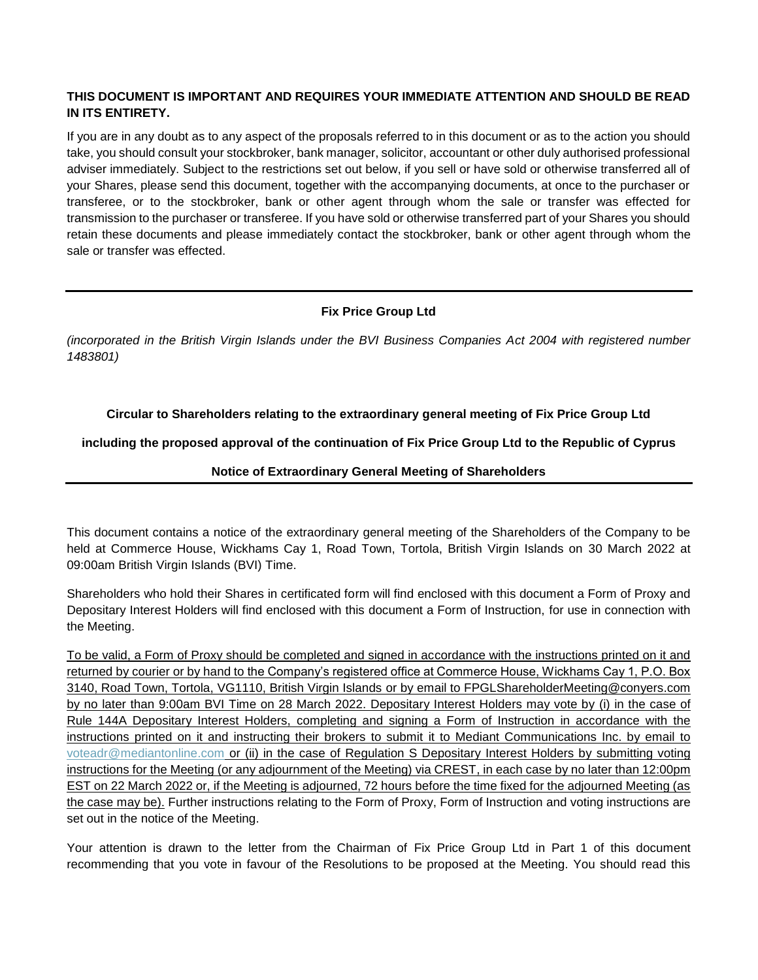# **THIS DOCUMENT IS IMPORTANT AND REQUIRES YOUR IMMEDIATE ATTENTION AND SHOULD BE READ IN ITS ENTIRETY.**

If you are in any doubt as to any aspect of the proposals referred to in this document or as to the action you should take, you should consult your stockbroker, bank manager, solicitor, accountant or other duly authorised professional adviser immediately. Subject to the restrictions set out below, if you sell or have sold or otherwise transferred all of your Shares, please send this document, together with the accompanying documents, at once to the purchaser or transferee, or to the stockbroker, bank or other agent through whom the sale or transfer was effected for transmission to the purchaser or transferee. If you have sold or otherwise transferred part of your Shares you should retain these documents and please immediately contact the stockbroker, bank or other agent through whom the sale or transfer was effected.

# **Fix Price Group Ltd**

*(incorporated in the British Virgin Islands under the BVI Business Companies Act 2004 with registered number 1483801)*

## **Circular to Shareholders relating to the extraordinary general meeting of Fix Price Group Ltd**

# **including the proposed approval of the continuation of Fix Price Group Ltd to the Republic of Cyprus**

## **Notice of Extraordinary General Meeting of Shareholders**

This document contains a notice of the extraordinary general meeting of the Shareholders of the Company to be held at Commerce House, Wickhams Cay 1, Road Town, Tortola, British Virgin Islands on 30 March 2022 at 09:00am British Virgin Islands (BVI) Time.

Shareholders who hold their Shares in certificated form will find enclosed with this document a Form of Proxy and Depositary Interest Holders will find enclosed with this document a Form of Instruction, for use in connection with the Meeting.

To be valid, a Form of Proxy should be completed and signed in accordance with the instructions printed on it and returned by courier or by hand to the Company's registered office at Commerce House, Wickhams Cay 1, P.O. Box 3140, Road Town, Tortola, VG1110, British Virgin Islands or by email to FPGLShareholderMeeting@conyers.com by no later than 9:00am BVI Time on 28 March 2022. Depositary Interest Holders may vote by (i) in the case of Rule 144A Depositary Interest Holders, completing and signing a Form of Instruction in accordance with the instructions printed on it and instructing their brokers to submit it to Mediant Communications Inc. by email to [voteadr@mediantonline.com](mailto:voteadr@mediantonline.com) or (ii) in the case of Regulation S Depositary Interest Holders by submitting voting instructions for the Meeting (or any adjournment of the Meeting) via CREST, in each case by no later than 12:00pm EST on 22 March 2022 or, if the Meeting is adjourned, 72 hours before the time fixed for the adjourned Meeting (as the case may be). Further instructions relating to the Form of Proxy, Form of Instruction and voting instructions are set out in the notice of the Meeting.

Your attention is drawn to the letter from the Chairman of Fix Price Group Ltd in Part 1 of this document recommending that you vote in favour of the Resolutions to be proposed at the Meeting. You should read this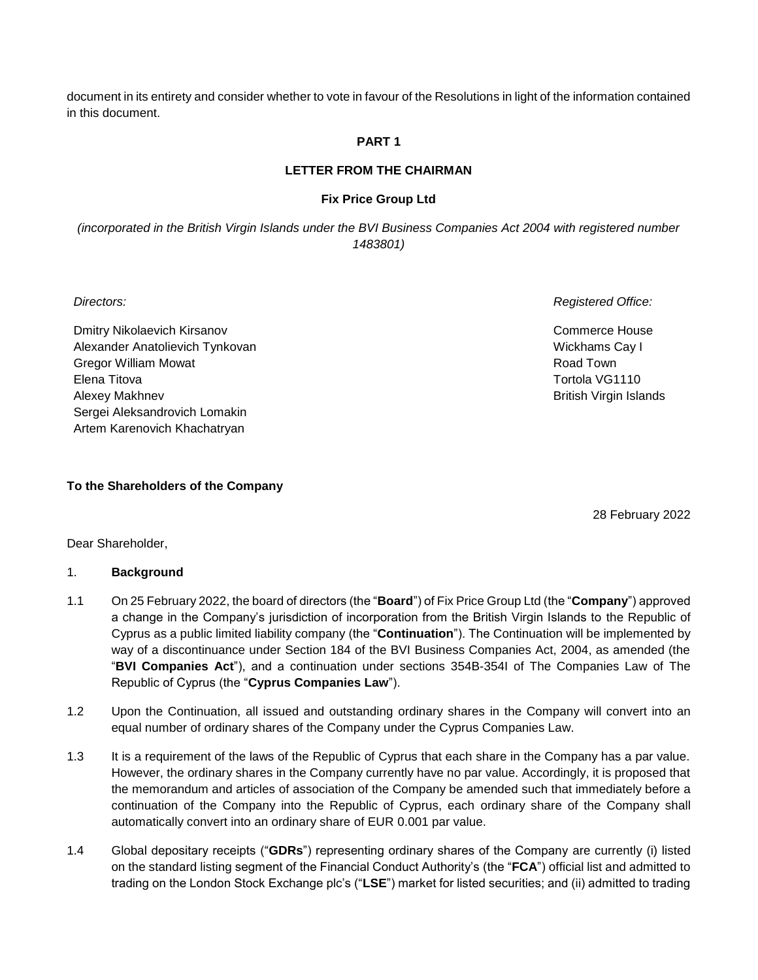document in its entirety and consider whether to vote in favour of the Resolutions in light of the information contained in this document.

#### **PART 1**

#### **LETTER FROM THE CHAIRMAN**

#### **Fix Price Group Ltd**

*(incorporated in the British Virgin Islands under the BVI Business Companies Act 2004 with registered number 1483801)*

Dmitry Nikolaevich Kirsanov Alexander Anatolievich Tynkovan Gregor William Mowat Elena Titova Alexey Makhnev Sergei Aleksandrovich Lomakin Artem Karenovich Khachatryan

*Directors: Registered Office:*

Commerce House Wickhams Cay I Road Town Tortola VG1110 British Virgin Islands

#### **To the Shareholders of the Company**

28 February 2022

Dear Shareholder,

#### 1. **Background**

- 1.1 On 25 February 2022, the board of directors (the "**Board**") of Fix Price Group Ltd (the "**Company**") approved a change in the Company's jurisdiction of incorporation from the British Virgin Islands to the Republic of Cyprus as a public limited liability company (the "**Continuation**"). The Continuation will be implemented by way of a discontinuance under Section 184 of the BVI Business Companies Act, 2004, as amended (the "**BVI Companies Act**"), and a continuation under sections 354B-354I of The Companies Law of The Republic of Cyprus (the "**Cyprus Companies Law**").
- 1.2 Upon the Continuation, all issued and outstanding ordinary shares in the Company will convert into an equal number of ordinary shares of the Company under the Cyprus Companies Law.
- 1.3 It is a requirement of the laws of the Republic of Cyprus that each share in the Company has a par value. However, the ordinary shares in the Company currently have no par value. Accordingly, it is proposed that the memorandum and articles of association of the Company be amended such that immediately before a continuation of the Company into the Republic of Cyprus, each ordinary share of the Company shall automatically convert into an ordinary share of EUR 0.001 par value.
- 1.4 Global depositary receipts ("**GDRs**") representing ordinary shares of the Company are currently (i) listed on the standard listing segment of the Financial Conduct Authority's (the "**FCA**") official list and admitted to trading on the London Stock Exchange plc's ("**LSE**") market for listed securities; and (ii) admitted to trading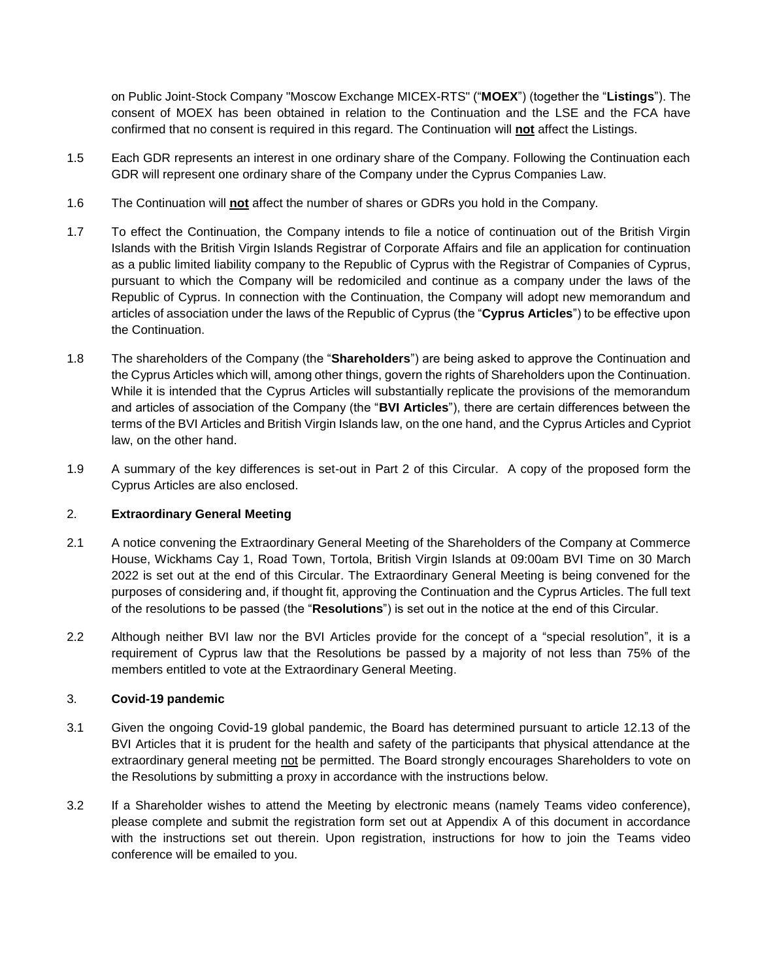on Public Joint-Stock Company "Moscow Exchange MICEX-RTS" ("**MOEX**") (together the "**Listings**"). The consent of MOEX has been obtained in relation to the Continuation and the LSE and the FCA have confirmed that no consent is required in this regard. The Continuation will **not** affect the Listings.

- 1.5 Each GDR represents an interest in one ordinary share of the Company. Following the Continuation each GDR will represent one ordinary share of the Company under the Cyprus Companies Law.
- 1.6 The Continuation will **not** affect the number of shares or GDRs you hold in the Company.
- 1.7 To effect the Continuation, the Company intends to file a notice of continuation out of the British Virgin Islands with the British Virgin Islands Registrar of Corporate Affairs and file an application for continuation as a public limited liability company to the Republic of Cyprus with the Registrar of Companies of Cyprus, pursuant to which the Company will be redomiciled and continue as a company under the laws of the Republic of Cyprus. In connection with the Continuation, the Company will adopt new memorandum and articles of association under the laws of the Republic of Cyprus (the "**Cyprus Articles**") to be effective upon the Continuation.
- 1.8 The shareholders of the Company (the "**Shareholders**") are being asked to approve the Continuation and the Cyprus Articles which will, among other things, govern the rights of Shareholders upon the Continuation. While it is intended that the Cyprus Articles will substantially replicate the provisions of the memorandum and articles of association of the Company (the "**BVI Articles**"), there are certain differences between the terms of the BVI Articles and British Virgin Islands law, on the one hand, and the Cyprus Articles and Cypriot law, on the other hand.
- 1.9 A summary of the key differences is set-out in Part 2 of this Circular. A copy of the proposed form the Cyprus Articles are also enclosed.

## 2. **Extraordinary General Meeting**

- 2.1 A notice convening the Extraordinary General Meeting of the Shareholders of the Company at Commerce House, Wickhams Cay 1, Road Town, Tortola, British Virgin Islands at 09:00am BVI Time on 30 March 2022 is set out at the end of this Circular. The Extraordinary General Meeting is being convened for the purposes of considering and, if thought fit, approving the Continuation and the Cyprus Articles. The full text of the resolutions to be passed (the "**Resolutions**") is set out in the notice at the end of this Circular.
- 2.2 Although neither BVI law nor the BVI Articles provide for the concept of a "special resolution", it is a requirement of Cyprus law that the Resolutions be passed by a majority of not less than 75% of the members entitled to vote at the Extraordinary General Meeting.

## 3. **Covid-19 pandemic**

- 3.1 Given the ongoing Covid-19 global pandemic, the Board has determined pursuant to article 12.13 of the BVI Articles that it is prudent for the health and safety of the participants that physical attendance at the extraordinary general meeting not be permitted. The Board strongly encourages Shareholders to vote on the Resolutions by submitting a proxy in accordance with the instructions below.
- 3.2 If a Shareholder wishes to attend the Meeting by electronic means (namely Teams video conference), please complete and submit the registration form set out at Appendix A of this document in accordance with the instructions set out therein. Upon registration, instructions for how to join the Teams video conference will be emailed to you.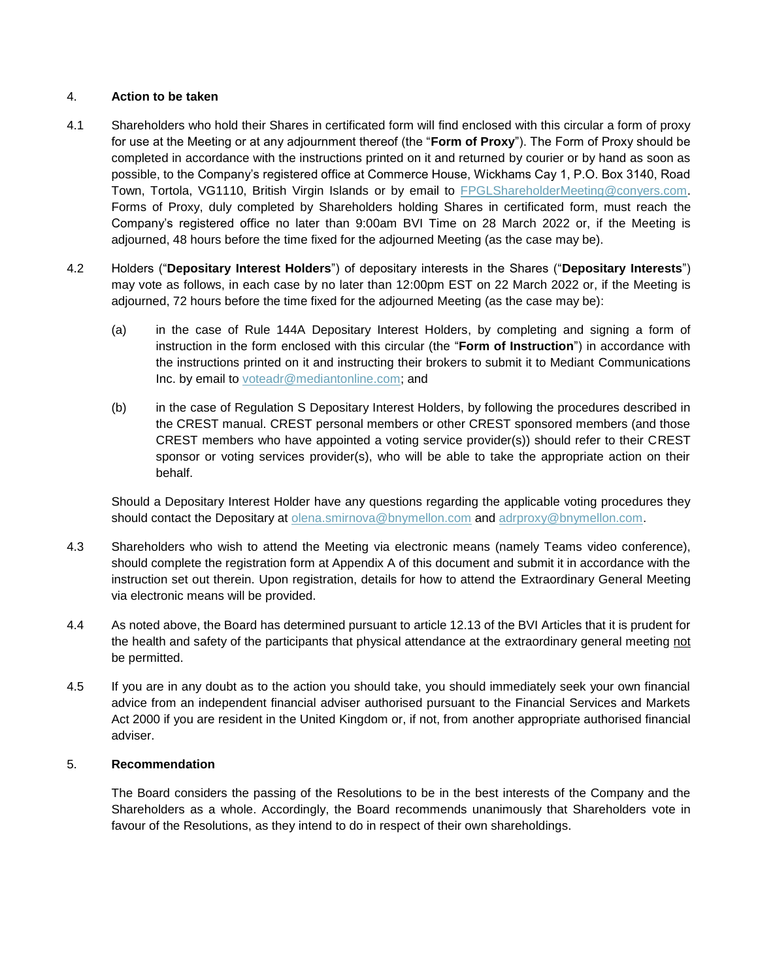## 4. **Action to be taken**

- 4.1 Shareholders who hold their Shares in certificated form will find enclosed with this circular a form of proxy for use at the Meeting or at any adjournment thereof (the "**Form of Proxy**"). The Form of Proxy should be completed in accordance with the instructions printed on it and returned by courier or by hand as soon as possible, to the Company's registered office at Commerce House, Wickhams Cay 1, P.O. Box 3140, Road Town, Tortola, VG1110, British Virgin Islands or by email to [FPGLShareholderMeeting@conyers.com.](mailto:FPGLShareholderMeeting@conyers.com) Forms of Proxy, duly completed by Shareholders holding Shares in certificated form, must reach the Company's registered office no later than 9:00am BVI Time on 28 March 2022 or, if the Meeting is adjourned, 48 hours before the time fixed for the adjourned Meeting (as the case may be).
- 4.2 Holders ("**Depositary Interest Holders**") of depositary interests in the Shares ("**Depositary Interests**") may vote as follows, in each case by no later than 12:00pm EST on 22 March 2022 or, if the Meeting is adjourned, 72 hours before the time fixed for the adjourned Meeting (as the case may be):
	- (a) in the case of Rule 144A Depositary Interest Holders, by completing and signing a form of instruction in the form enclosed with this circular (the "**Form of Instruction**") in accordance with the instructions printed on it and instructing their brokers to submit it to Mediant Communications Inc. by email to [voteadr@mediantonline.com;](mailto:voteadr@mediantonline.com) and
	- (b) in the case of Regulation S Depositary Interest Holders, by following the procedures described in the CREST manual. CREST personal members or other CREST sponsored members (and those CREST members who have appointed a voting service provider(s)) should refer to their CREST sponsor or voting services provider(s), who will be able to take the appropriate action on their behalf.

Should a Depositary Interest Holder have any questions regarding the applicable voting procedures they should contact the Depositary at [olena.smirnova@bnymellon.com](mailto:olena.smirnova@bnymellon.com) and [adrproxy@bnymellon.com.](mailto:adrproxy@bnymellon.com)

- 4.3 Shareholders who wish to attend the Meeting via electronic means (namely Teams video conference), should complete the registration form at Appendix A of this document and submit it in accordance with the instruction set out therein. Upon registration, details for how to attend the Extraordinary General Meeting via electronic means will be provided.
- 4.4 As noted above, the Board has determined pursuant to article 12.13 of the BVI Articles that it is prudent for the health and safety of the participants that physical attendance at the extraordinary general meeting not be permitted.
- 4.5 If you are in any doubt as to the action you should take, you should immediately seek your own financial advice from an independent financial adviser authorised pursuant to the Financial Services and Markets Act 2000 if you are resident in the United Kingdom or, if not, from another appropriate authorised financial adviser.

#### 5. **Recommendation**

The Board considers the passing of the Resolutions to be in the best interests of the Company and the Shareholders as a whole. Accordingly, the Board recommends unanimously that Shareholders vote in favour of the Resolutions, as they intend to do in respect of their own shareholdings.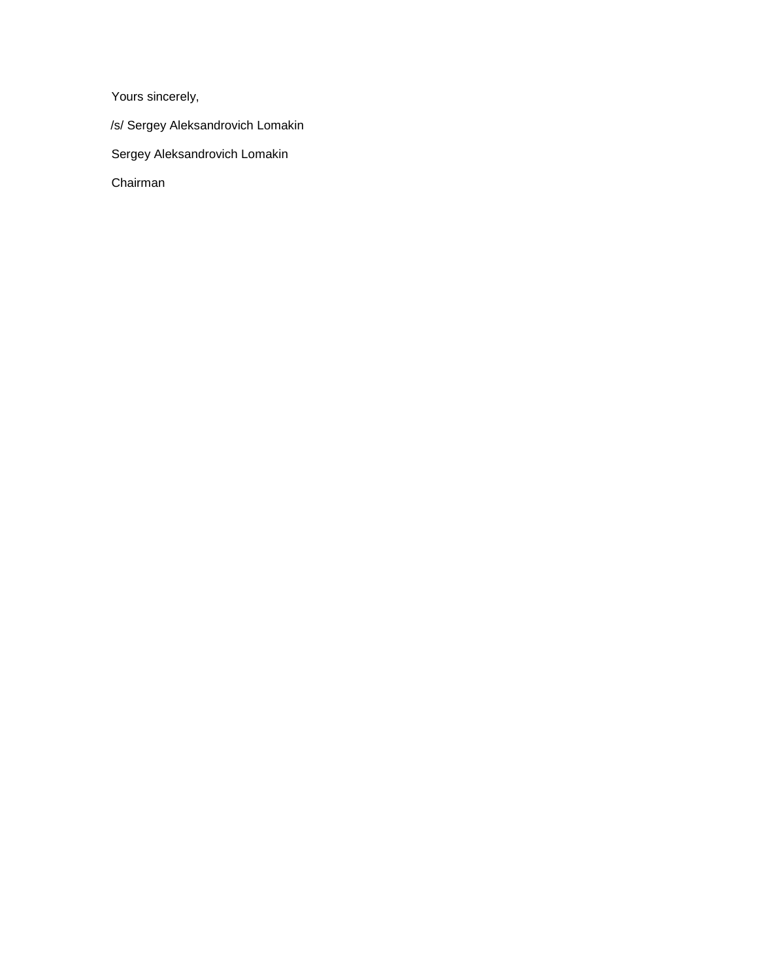Yours sincerely,

/s/ Sergey Aleksandrovich Lomakin

Sergey Aleksandrovich Lomakin

Chairman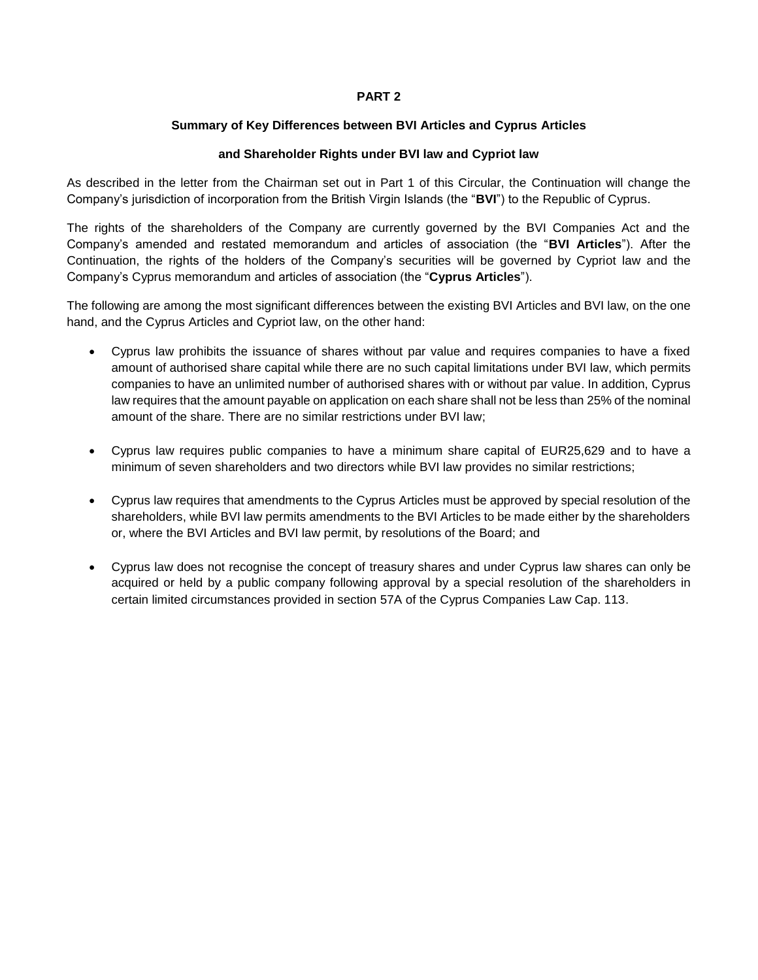## **PART 2**

#### **Summary of Key Differences between BVI Articles and Cyprus Articles**

### **and Shareholder Rights under BVI law and Cypriot law**

As described in the letter from the Chairman set out in Part 1 of this Circular, the Continuation will change the Company's jurisdiction of incorporation from the British Virgin Islands (the "**BVI**") to the Republic of Cyprus.

The rights of the shareholders of the Company are currently governed by the BVI Companies Act and the Company's amended and restated memorandum and articles of association (the "**BVI Articles**"). After the Continuation, the rights of the holders of the Company's securities will be governed by Cypriot law and the Company's Cyprus memorandum and articles of association (the "**Cyprus Articles**").

The following are among the most significant differences between the existing BVI Articles and BVI law, on the one hand, and the Cyprus Articles and Cypriot law, on the other hand:

- Cyprus law prohibits the issuance of shares without par value and requires companies to have a fixed amount of authorised share capital while there are no such capital limitations under BVI law, which permits companies to have an unlimited number of authorised shares with or without par value. In addition, Cyprus law requires that the amount payable on application on each share shall not be less than 25% of the nominal amount of the share. There are no similar restrictions under BVI law;
- Cyprus law requires public companies to have a minimum share capital of EUR25,629 and to have a minimum of seven shareholders and two directors while BVI law provides no similar restrictions;
- Cyprus law requires that amendments to the Cyprus Articles must be approved by special resolution of the shareholders, while BVI law permits amendments to the BVI Articles to be made either by the shareholders or, where the BVI Articles and BVI law permit, by resolutions of the Board; and
- Cyprus law does not recognise the concept of treasury shares and under Cyprus law shares can only be acquired or held by a public company following approval by a special resolution of the shareholders in certain limited circumstances provided in section 57A of the Cyprus Companies Law Cap. 113.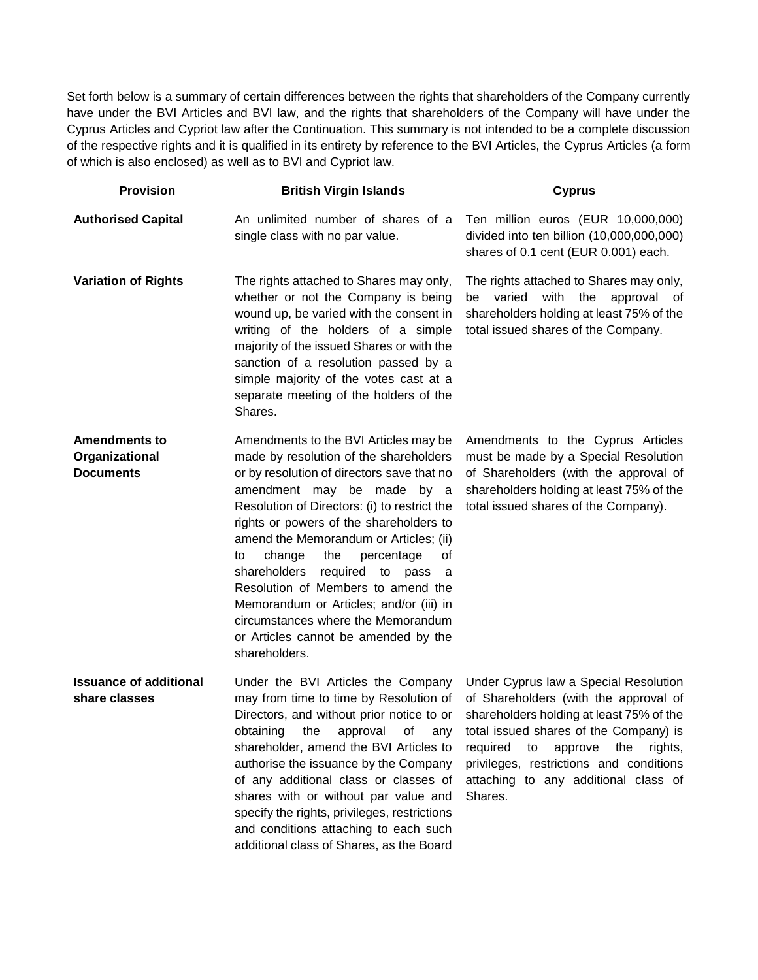Set forth below is a summary of certain differences between the rights that shareholders of the Company currently have under the BVI Articles and BVI law, and the rights that shareholders of the Company will have under the Cyprus Articles and Cypriot law after the Continuation. This summary is not intended to be a complete discussion of the respective rights and it is qualified in its entirety by reference to the BVI Articles, the Cyprus Articles (a form of which is also enclosed) as well as to BVI and Cypriot law.

| <b>Provision</b>                                           | <b>British Virgin Islands</b>                                                                                                                                                                                                                                                                                                                                                                                                                                                                                                                                             | <b>Cyprus</b>                                                                                                                                                                                                                                                                                                     |
|------------------------------------------------------------|---------------------------------------------------------------------------------------------------------------------------------------------------------------------------------------------------------------------------------------------------------------------------------------------------------------------------------------------------------------------------------------------------------------------------------------------------------------------------------------------------------------------------------------------------------------------------|-------------------------------------------------------------------------------------------------------------------------------------------------------------------------------------------------------------------------------------------------------------------------------------------------------------------|
| <b>Authorised Capital</b>                                  | An unlimited number of shares of a<br>single class with no par value.                                                                                                                                                                                                                                                                                                                                                                                                                                                                                                     | Ten million euros (EUR 10,000,000)<br>divided into ten billion (10,000,000,000)<br>shares of 0.1 cent (EUR 0.001) each.                                                                                                                                                                                           |
| <b>Variation of Rights</b>                                 | The rights attached to Shares may only,<br>whether or not the Company is being<br>wound up, be varied with the consent in<br>writing of the holders of a simple<br>majority of the issued Shares or with the<br>sanction of a resolution passed by a<br>simple majority of the votes cast at a<br>separate meeting of the holders of the<br>Shares.                                                                                                                                                                                                                       | The rights attached to Shares may only,<br>be varied with the approval of<br>shareholders holding at least 75% of the<br>total issued shares of the Company.                                                                                                                                                      |
| <b>Amendments to</b><br>Organizational<br><b>Documents</b> | Amendments to the BVI Articles may be<br>made by resolution of the shareholders<br>or by resolution of directors save that no<br>amendment may be made by a<br>Resolution of Directors: (i) to restrict the<br>rights or powers of the shareholders to<br>amend the Memorandum or Articles; (ii)<br>change<br>the<br>percentage<br>οf<br>to<br>shareholders<br>required<br>to pass<br>- a<br>Resolution of Members to amend the<br>Memorandum or Articles; and/or (iii) in<br>circumstances where the Memorandum<br>or Articles cannot be amended by the<br>shareholders. | Amendments to the Cyprus Articles<br>must be made by a Special Resolution<br>of Shareholders (with the approval of<br>shareholders holding at least 75% of the<br>total issued shares of the Company).                                                                                                            |
| <b>Issuance of additional</b><br>share classes             | Under the BVI Articles the Company<br>may from time to time by Resolution of<br>Directors, and without prior notice to or<br>obtaining<br>of<br>the<br>approval<br>any<br>shareholder, amend the BVI Articles to<br>authorise the issuance by the Company<br>of any additional class or classes of<br>shares with or without par value and<br>specify the rights, privileges, restrictions<br>and conditions attaching to each such<br>additional class of Shares, as the Board                                                                                           | Under Cyprus law a Special Resolution<br>of Shareholders (with the approval of<br>shareholders holding at least 75% of the<br>total issued shares of the Company) is<br>required<br>approve<br>rights,<br>to<br>the<br>privileges, restrictions and conditions<br>attaching to any additional class of<br>Shares. |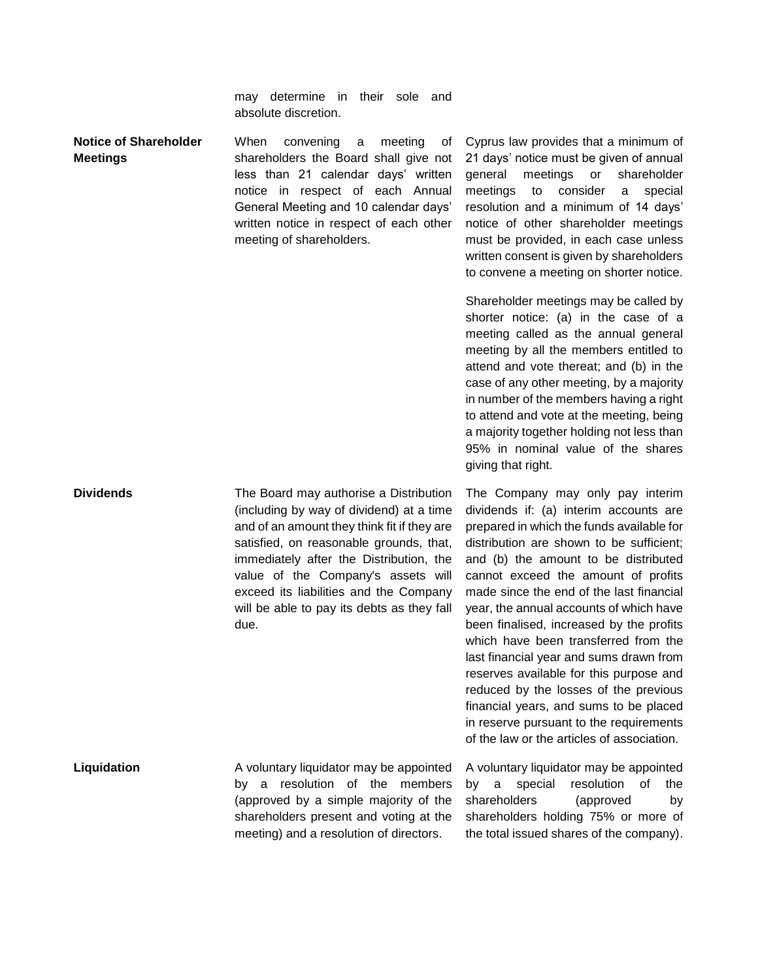may determine in their sole and absolute discretion.

**Notice of Shareholder Meetings** When convening a meeting of shareholders the Board shall give not less than 21 calendar days' written notice in respect of each Annual General Meeting and 10 calendar days' written notice in respect of each other meeting of shareholders. Cyprus law provides that a minimum of 21 days' notice must be given of annual general meetings or shareholder

meetings to consider a special resolution and a minimum of 14 days' notice of other shareholder meetings must be provided, in each case unless written consent is given by shareholders to convene a meeting on shorter notice. Shareholder meetings may be called by

shorter notice: (a) in the case of a meeting called as the annual general meeting by all the members entitled to attend and vote thereat; and (b) in the case of any other meeting, by a majority in number of the members having a right to attend and vote at the meeting, being a majority together holding not less than 95% in nominal value of the shares giving that right.

The Company may only pay interim dividends if: (a) interim accounts are prepared in which the funds available for distribution are shown to be sufficient; and (b) the amount to be distributed cannot exceed the amount of profits made since the end of the last financial year, the annual accounts of which have been finalised, increased by the profits which have been transferred from the last financial year and sums drawn from reserves available for this purpose and reduced by the losses of the previous financial years, and sums to be placed in reserve pursuant to the requirements of the law or the articles of association.

A voluntary liquidator may be appointed by a special resolution of the shareholders (approved by shareholders holding 75% or more of the total issued shares of the company).

**Dividends** The Board may authorise a Distribution (including by way of dividend) at a time and of an amount they think fit if they are satisfied, on reasonable grounds, that, immediately after the Distribution, the value of the Company's assets will exceed its liabilities and the Company will be able to pay its debts as they fall due.

**Liquidation A** voluntary liquidator may be appointed by a resolution of the members (approved by a simple majority of the shareholders present and voting at the meeting) and a resolution of directors.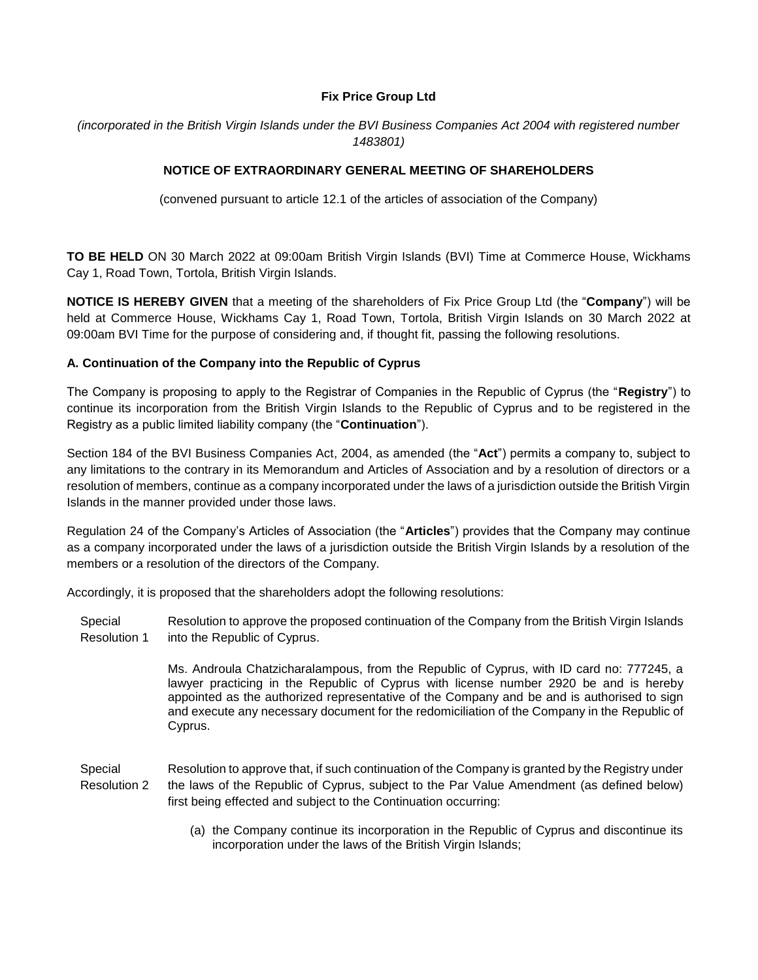## **Fix Price Group Ltd**

*(incorporated in the British Virgin Islands under the BVI Business Companies Act 2004 with registered number 1483801)*

## **NOTICE OF EXTRAORDINARY GENERAL MEETING OF SHAREHOLDERS**

(convened pursuant to article 12.1 of the articles of association of the Company)

**TO BE HELD** ON 30 March 2022 at 09:00am British Virgin Islands (BVI) Time at Commerce House, Wickhams Cay 1, Road Town, Tortola, British Virgin Islands.

**NOTICE IS HEREBY GIVEN** that a meeting of the shareholders of Fix Price Group Ltd (the "**Company**") will be held at Commerce House, Wickhams Cay 1, Road Town, Tortola, British Virgin Islands on 30 March 2022 at 09:00am BVI Time for the purpose of considering and, if thought fit, passing the following resolutions.

## **A. Continuation of the Company into the Republic of Cyprus**

The Company is proposing to apply to the Registrar of Companies in the Republic of Cyprus (the "**Registry**") to continue its incorporation from the British Virgin Islands to the Republic of Cyprus and to be registered in the Registry as a public limited liability company (the "**Continuation**").

Section 184 of the BVI Business Companies Act, 2004, as amended (the "**Act**") permits a company to, subject to any limitations to the contrary in its Memorandum and Articles of Association and by a resolution of directors or a resolution of members, continue as a company incorporated under the laws of a jurisdiction outside the British Virgin Islands in the manner provided under those laws.

Regulation 24 of the Company's Articles of Association (the "**Articles**") provides that the Company may continue as a company incorporated under the laws of a jurisdiction outside the British Virgin Islands by a resolution of the members or a resolution of the directors of the Company.

Accordingly, it is proposed that the shareholders adopt the following resolutions:

Special Resolution 1 Resolution to approve the proposed continuation of the Company from the British Virgin Islands into the Republic of Cyprus.

> Ms. Androula Chatzicharalampous, from the Republic of Cyprus, with ID card no: 777245, a lawyer practicing in the Republic of Cyprus with license number 2920 be and is hereby appointed as the authorized representative of the Company and be and is authorised to sign and execute any necessary document for the redomiciliation of the Company in the Republic of Cyprus.

- Special Resolution 2 Resolution to approve that, if such continuation of the Company is granted by the Registry under the laws of the Republic of Cyprus, subject to the Par Value Amendment (as defined below) first being effected and subject to the Continuation occurring:
	- (a) the Company continue its incorporation in the Republic of Cyprus and discontinue its incorporation under the laws of the British Virgin Islands;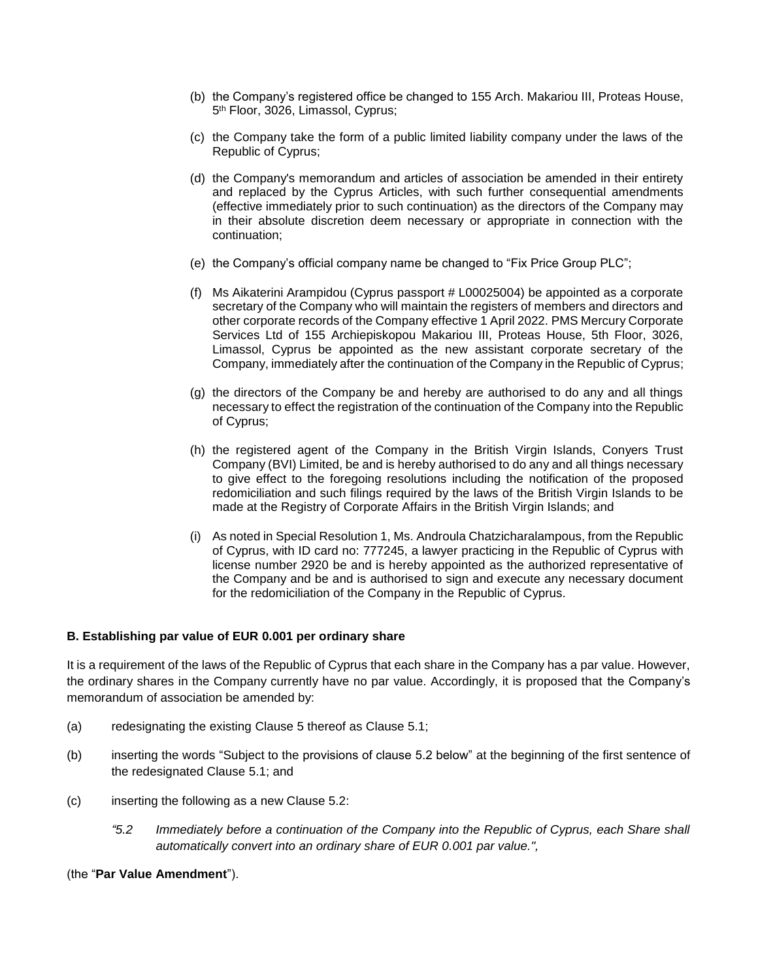- (b) the Company's registered office be changed to 155 Arch. Makariou III, Proteas House, 5<sup>th</sup> Floor, 3026, Limassol, Cyprus;
- (c) the Company take the form of a public limited liability company under the laws of the Republic of Cyprus;
- (d) the Company's memorandum and articles of association be amended in their entirety and replaced by the Cyprus Articles, with such further consequential amendments (effective immediately prior to such continuation) as the directors of the Company may in their absolute discretion deem necessary or appropriate in connection with the continuation;
- (e) the Company's official company name be changed to "Fix Price Group PLC";
- (f) Ms Aikaterini Arampidou (Cyprus passport # L00025004) be appointed as a corporate secretary of the Company who will maintain the registers of members and directors and other corporate records of the Company effective 1 April 2022. PMS Mercury Corporate Services Ltd of 155 Archiepiskopou Makariou III, Proteas House, 5th Floor, 3026, Limassol, Cyprus be appointed as the new assistant corporate secretary of the Company, immediately after the continuation of the Company in the Republic of Cyprus;
- (g) the directors of the Company be and hereby are authorised to do any and all things necessary to effect the registration of the continuation of the Company into the Republic of Cyprus;
- (h) the registered agent of the Company in the British Virgin Islands, Conyers Trust Company (BVI) Limited, be and is hereby authorised to do any and all things necessary to give effect to the foregoing resolutions including the notification of the proposed redomiciliation and such filings required by the laws of the British Virgin Islands to be made at the Registry of Corporate Affairs in the British Virgin Islands; and
- (i) As noted in Special Resolution 1, Ms. Androula Chatzicharalampous, from the Republic of Cyprus, with ID card no: 777245, a lawyer practicing in the Republic of Cyprus with license number 2920 be and is hereby appointed as the authorized representative of the Company and be and is authorised to sign and execute any necessary document for the redomiciliation of the Company in the Republic of Cyprus.

## **B. Establishing par value of EUR 0.001 per ordinary share**

It is a requirement of the laws of the Republic of Cyprus that each share in the Company has a par value. However, the ordinary shares in the Company currently have no par value. Accordingly, it is proposed that the Company's memorandum of association be amended by:

- (a) redesignating the existing Clause 5 thereof as Clause 5.1;
- (b) inserting the words "Subject to the provisions of clause 5.2 below" at the beginning of the first sentence of the redesignated Clause 5.1; and
- $(c)$  inserting the following as a new Clause 5.2:
	- *"5.2 Immediately before a continuation of the Company into the Republic of Cyprus, each Share shall automatically convert into an ordinary share of EUR 0.001 par value.",*

#### (the "**Par Value Amendment**").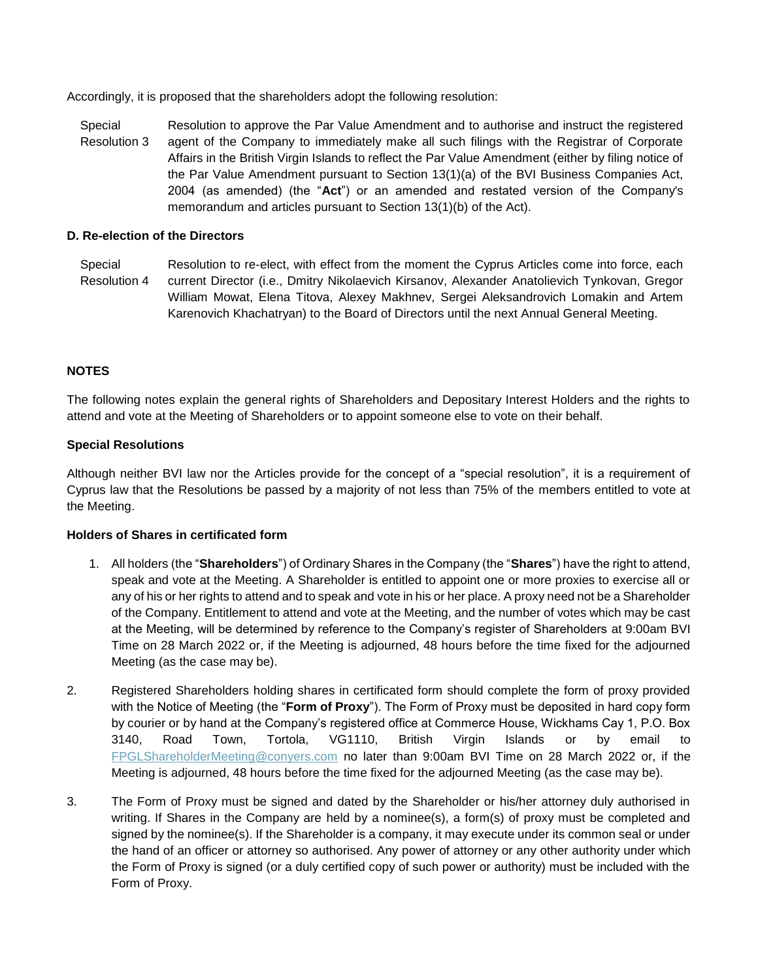Accordingly, it is proposed that the shareholders adopt the following resolution:

Special Resolution 3 Resolution to approve the Par Value Amendment and to authorise and instruct the registered agent of the Company to immediately make all such filings with the Registrar of Corporate Affairs in the British Virgin Islands to reflect the Par Value Amendment (either by filing notice of the Par Value Amendment pursuant to Section 13(1)(a) of the BVI Business Companies Act, 2004 (as amended) (the "**Act**") or an amended and restated version of the Company's memorandum and articles pursuant to Section 13(1)(b) of the Act).

#### **D. Re-election of the Directors**

Special Resolution 4 Resolution to re-elect, with effect from the moment the Cyprus Articles come into force, each current Director (i.e., Dmitry Nikolaevich Kirsanov, Alexander Anatolievich Tynkovan, Gregor William Mowat, Elena Titova, Alexey Makhnev, Sergei Aleksandrovich Lomakin and Artem Karenovich Khachatryan) to the Board of Directors until the next Annual General Meeting.

## **NOTES**

The following notes explain the general rights of Shareholders and Depositary Interest Holders and the rights to attend and vote at the Meeting of Shareholders or to appoint someone else to vote on their behalf.

### **Special Resolutions**

Although neither BVI law nor the Articles provide for the concept of a "special resolution", it is a requirement of Cyprus law that the Resolutions be passed by a majority of not less than 75% of the members entitled to vote at the Meeting.

#### **Holders of Shares in certificated form**

- 1. All holders (the "**Shareholders**") of Ordinary Shares in the Company (the "**Shares**") have the right to attend, speak and vote at the Meeting. A Shareholder is entitled to appoint one or more proxies to exercise all or any of his or her rights to attend and to speak and vote in his or her place. A proxy need not be a Shareholder of the Company. Entitlement to attend and vote at the Meeting, and the number of votes which may be cast at the Meeting, will be determined by reference to the Company's register of Shareholders at 9:00am BVI Time on 28 March 2022 or, if the Meeting is adjourned, 48 hours before the time fixed for the adjourned Meeting (as the case may be).
- 2. Registered Shareholders holding shares in certificated form should complete the form of proxy provided with the Notice of Meeting (the "**Form of Proxy**"). The Form of Proxy must be deposited in hard copy form by courier or by hand at the Company's registered office at Commerce House, Wickhams Cay 1, P.O. Box 3140, Road Town, Tortola, VG1110, British Virgin Islands or by email to [FPGLShareholderMeeting@conyers.com](mailto:FPGLShareholderMeeting@conyers.com) no later than 9:00am BVI Time on 28 March 2022 or, if the Meeting is adjourned, 48 hours before the time fixed for the adjourned Meeting (as the case may be).
- 3. The Form of Proxy must be signed and dated by the Shareholder or his/her attorney duly authorised in writing. If Shares in the Company are held by a nominee(s), a form(s) of proxy must be completed and signed by the nominee(s). If the Shareholder is a company, it may execute under its common seal or under the hand of an officer or attorney so authorised. Any power of attorney or any other authority under which the Form of Proxy is signed (or a duly certified copy of such power or authority) must be included with the Form of Proxy.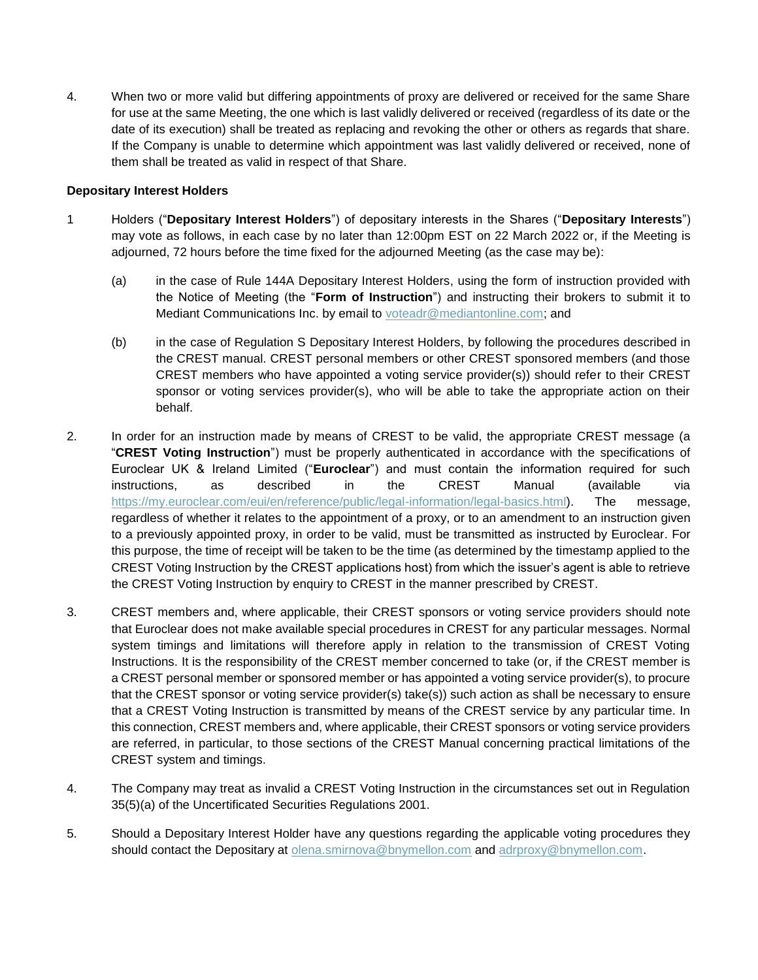4. When two or more valid but differing appointments of proxy are delivered or received for the same Share for use at the same Meeting, the one which is last validly delivered or received (regardless of its date or the date of its execution) shall be treated as replacing and revoking the other or others as regards that share. If the Company is unable to determine which appointment was last validly delivered or received, none of them shall be treated as valid in respect of that Share.

## **Depositary Interest Holders**

- 1 Holders ("**Depositary Interest Holders**") of depositary interests in the Shares ("**Depositary Interests**") may vote as follows, in each case by no later than 12:00pm EST on 22 March 2022 or, if the Meeting is adjourned, 72 hours before the time fixed for the adjourned Meeting (as the case may be):
	- (a) in the case of Rule 144A Depositary Interest Holders, using the form of instruction provided with the Notice of Meeting (the "**Form of Instruction**") and instructing their brokers to submit it to Mediant Communications Inc. by email to **voteadr@mediantonline.com**; and
	- (b) in the case of Regulation S Depositary Interest Holders, by following the procedures described in the CREST manual. CREST personal members or other CREST sponsored members (and those CREST members who have appointed a voting service provider(s)) should refer to their CREST sponsor or voting services provider(s), who will be able to take the appropriate action on their behalf.
- 2. In order for an instruction made by means of CREST to be valid, the appropriate CREST message (a "**CREST Voting Instruction**") must be properly authenticated in accordance with the specifications of Euroclear UK & Ireland Limited ("**Euroclear**") and must contain the information required for such instructions, as described in the CREST Manual (available via [https://my.euroclear.com/eui/en/reference/public/legal-information/legal-basics.html\)](https://my.euroclear.com/eui/en/reference/public/legal-information/legal-basics.html). The message, regardless of whether it relates to the appointment of a proxy, or to an amendment to an instruction given to a previously appointed proxy, in order to be valid, must be transmitted as instructed by Euroclear. For this purpose, the time of receipt will be taken to be the time (as determined by the timestamp applied to the CREST Voting Instruction by the CREST applications host) from which the issuer's agent is able to retrieve the CREST Voting Instruction by enquiry to CREST in the manner prescribed by CREST.
- 3. CREST members and, where applicable, their CREST sponsors or voting service providers should note that Euroclear does not make available special procedures in CREST for any particular messages. Normal system timings and limitations will therefore apply in relation to the transmission of CREST Voting Instructions. It is the responsibility of the CREST member concerned to take (or, if the CREST member is a CREST personal member or sponsored member or has appointed a voting service provider(s), to procure that the CREST sponsor or voting service provider(s) take(s)) such action as shall be necessary to ensure that a CREST Voting Instruction is transmitted by means of the CREST service by any particular time. In this connection, CREST members and, where applicable, their CREST sponsors or voting service providers are referred, in particular, to those sections of the CREST Manual concerning practical limitations of the CREST system and timings.
- 4. The Company may treat as invalid a CREST Voting Instruction in the circumstances set out in Regulation 35(5)(a) of the Uncertificated Securities Regulations 2001.
- 5. Should a Depositary Interest Holder have any questions regarding the applicable voting procedures they should contact the Depositary at **[olena.smirnova@bnymellon.com](mailto:olena.smirnova@bnymellon.com)** and **adrproxy@bnymellon.com**.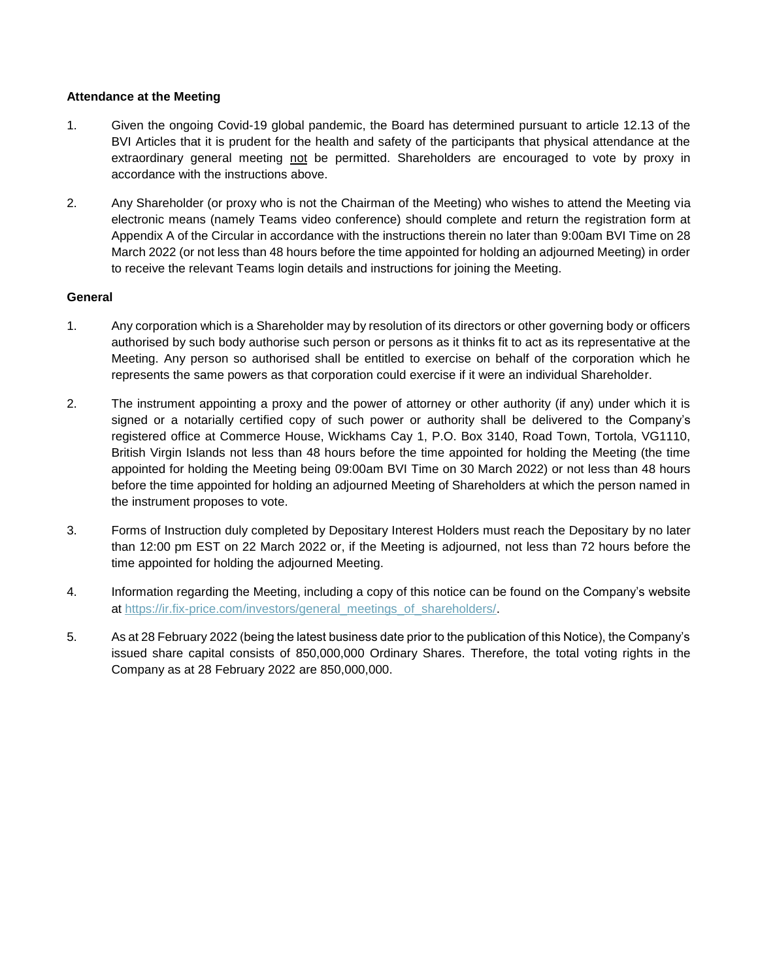## **Attendance at the Meeting**

- 1. Given the ongoing Covid-19 global pandemic, the Board has determined pursuant to article 12.13 of the BVI Articles that it is prudent for the health and safety of the participants that physical attendance at the extraordinary general meeting not be permitted. Shareholders are encouraged to vote by proxy in accordance with the instructions above.
- 2. Any Shareholder (or proxy who is not the Chairman of the Meeting) who wishes to attend the Meeting via electronic means (namely Teams video conference) should complete and return the registration form at Appendix A of the Circular in accordance with the instructions therein no later than 9:00am BVI Time on 28 March 2022 (or not less than 48 hours before the time appointed for holding an adjourned Meeting) in order to receive the relevant Teams login details and instructions for joining the Meeting.

### **General**

- 1. Any corporation which is a Shareholder may by resolution of its directors or other governing body or officers authorised by such body authorise such person or persons as it thinks fit to act as its representative at the Meeting. Any person so authorised shall be entitled to exercise on behalf of the corporation which he represents the same powers as that corporation could exercise if it were an individual Shareholder.
- 2. The instrument appointing a proxy and the power of attorney or other authority (if any) under which it is signed or a notarially certified copy of such power or authority shall be delivered to the Company's registered office at Commerce House, Wickhams Cay 1, P.O. Box 3140, Road Town, Tortola, VG1110, British Virgin Islands not less than 48 hours before the time appointed for holding the Meeting (the time appointed for holding the Meeting being 09:00am BVI Time on 30 March 2022) or not less than 48 hours before the time appointed for holding an adjourned Meeting of Shareholders at which the person named in the instrument proposes to vote.
- 3. Forms of Instruction duly completed by Depositary Interest Holders must reach the Depositary by no later than 12:00 pm EST on 22 March 2022 or, if the Meeting is adjourned, not less than 72 hours before the time appointed for holding the adjourned Meeting.
- 4. Information regarding the Meeting, including a copy of this notice can be found on the Company's website at [https://ir.fix-price.com/investors/general\\_meetings\\_of\\_shareholders/.](https://ir.fix-price.com/investors/general_meetings_of_shareholders/)
- 5. As at 28 February 2022 (being the latest business date prior to the publication of this Notice), the Company's issued share capital consists of 850,000,000 Ordinary Shares. Therefore, the total voting rights in the Company as at 28 February 2022 are 850,000,000.